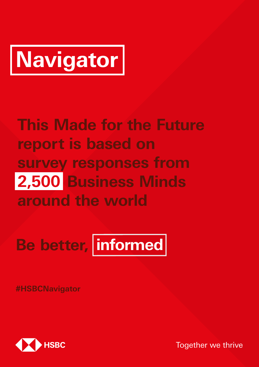# **Navigator**

## **This Made for the Future report is based on survey responses from 2,500 Business Minds around the world**

**Be better, informed**

**#HSBCNavigator**



Together we thrive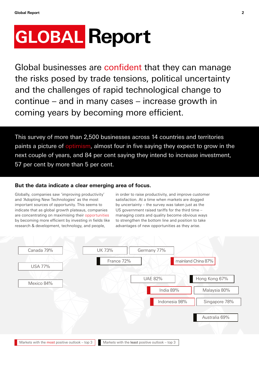## **GLOBAL Report**

Global businesses are confident that they can manage the risks posed by trade tensions, political uncertainty and the challenges of rapid technological change to continue – and in many cases – increase growth in coming years by becoming more efficient.

This survey of more than 2,500 businesses across 14 countries and territories paints a picture of optimism, almost four in five saying they expect to grow in the next couple of years, and 84 per cent saying they intend to increase investment, 57 per cent by more than 5 per cent.

#### **But the data indicate a clear emerging area of focus.**

Globally, companies saw 'improving productivity' and 'Adopting New Technologies' as the most important sources of opportunity. This seems to indicate that as global growth plateaus, companies are concentrating on maximising their opportunities by becoming more efficient by investing in fields like research & development, technology, and people,

in order to raise productivity, and improve customer satisfaction. At a time when markets are dogged by uncertainty – the survey was taken just as the US government raised tariffs for the third time – managing costs and quality become obvious ways to strengthen the bottom line and position to take advantages of new opportunities as they arise.

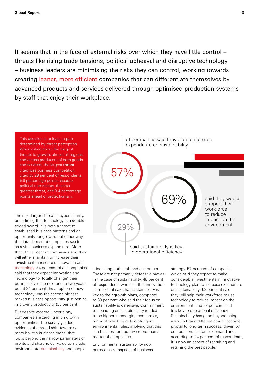It seems that in the face of external risks over which they have little control – threats like rising trade tensions, political upheaval and disruptive technology – business leaders are minimising the risks they can control, working towards creating leaner, more efficient companies that can differentiate themselves by advanced products and services delivered through optimised production systems by staff that enjoy their workplace.

This decision is at least in part determined by threat perception. When asked about the biggest threats to growth, almost all regions and across producers of both goods and services, the largest threat cited was business competition, cited by 29 per cent of respondents, 5.6 percentage points ahead of political uncertainty, the next greatest threat, and 9.4 percentage points ahead of protectionism.

The next largest threat is cybersecurity, underlining that technology is a doubleedged sword. It is both a threat to established business patterns and an opportunity for growth, but either way, the data show that companies see it as a vital business expenditure. More than 87 per cent of companies said they will either maintain or increase their investment in research, innovation and technology. 34 per cent of all companies said that they expect Innovation and Technology to 'totally change' their business over the next one to two years, but at 34 per cent the adoption of new technology was the second highest ranked business opportunity, just behind improving productivity (35 per cent).

But despite external uncertainty, companies are zeroing in on growth opportunities. The survey yielded evidence of a broad shift towards a more holistic business model that looks beyond the narrow parameters of profits and shareholder value to include environmental sustainability and people



to spending on sustainability tended key to their growth plans, compared of respondents who said that innovation – including both staff and customers. These are not primarily defensive moves: in the case of sustainability, 48 per cent is important said that sustainability is to 39 per cent who said their focus on sustainability is defensive. Commitment to be higher in emerging economies, many of which have less stringent environmental rules, implying that this is a business prerogative more than a matter of compliance.

Environmental sustainability now permeates all aspects of business

they will help their workforce to use technology to reduce impact on the environment, and 29 per cent said strategy. 57 per cent of companies which said they expect to make considerable investments in innovative technology plan to increase expenditure on sustainability; 69 per cent said it is key to operational efficiency. Sustainability has gone beyond being a luxury brand differentiator to become pivotal to long-term success, driven by competition, customer demand and, according to 24 per cent of respondents, it is now an aspect of recruiting and retaining the best people.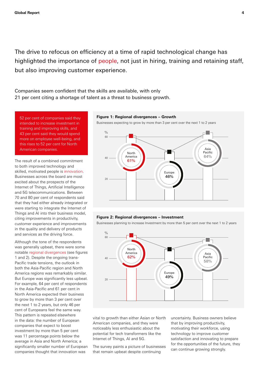The drive to refocus on efficiency at a time of rapid technological change has highlighted the importance of people, not just in hiring, training and retaining staff, but also improving customer experience. 40 36

Companies seem confident that the skills are available, with only 21 per cent citing a shortage of talent as a threat to business growth. 20 vvitil Olliy

52 per cent of companies said they intended to increase investment in training and improving skills, and 43 per cent said they would spend more on employee well-being, and this rises to 52 per cent for North American companies.

The result of a combined commitment to both improved technology and skilled, motivated people is innovation. Businesses across the board are most excited about the prospects of the Internet of Things, Artificial Intelligence and 5G telecommunications. Between 70 and 80 per cent of respondents said that they had either already integrated or were starting to integrate the Internet of Things and AI into their business model, citing improvements in productivity, customer experience and improvements in the quality and delivery of products and services as the driving force.

Although the tone of the respondents was generally upbeat, there were some notable regional divergences (see figures 1 and 2). Despite the ongoing trans-Pacific trade tensions, the outlook in both the Asia-Pacific region and North America regions was remarkably similar. But Europe was significantly less upbeat. For example, 64 per cent of respondents in the Asia-Pacific and 61 per cent in North America expected their business to grow by more than 3 per cent over the next 1 to 2 years, but only 46 per cent of Europeans feel the same way. This pattern is repeated elsewhere in the data: the number of European companies that expect to boost investment by more than 5 per cent was 11 percentage points below the average in Asia and North America; a significantly smaller number of European companies thought that innovation was

#### Figure 1: Regional divergences - Growth

Businesses expecting to grow by more than 3 per cent over the next 1 to 2 years



#### **Figure 2: Regional divergences – Investment** 80

Businesses planning to increase Investment by more than 5 per cent over the next 1 to 2 years



vital to growth than either Asian or North American companies, and they were noticeably less enthusiastic about the potential for tech transformers like the Internet of Things, AI and 5G.

36% that remain upbeat despite continuing The survey paints a picture of businesses

uncertainty. Business owners believe that by improving productivity, motivating their workforce, using technology to improve customer satisfaction and innovating to prepare for the opportunities of the future, they can continue growing strongly.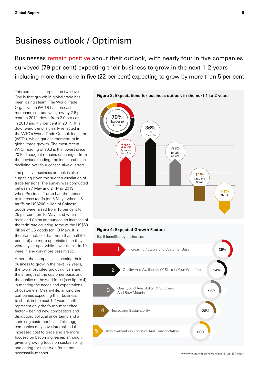## Business outlook / Optimism

Businesses remain positive about their outlook, with nearly four in five companies surveyed (79 per cent) expecting their business to grow in the next 1-2 years – including more than one in five (22 per cent) expecting to grow by more than 5 per cent

This comes as a surprise on two levels. One is that growth in global trade has been losing steam. The World Trade Organization (WTO) has forecast merchandise trade will grow by 2.6 per cent<sup>1</sup> in 2019, down from 3.0 per cent in 2018 and 4.7 per cent in 2017. This downward trend is clearly reflected in the WTO's World Trade Outlook Indicator (WTOI), which gauges momentum in global trade growth. The most recent WTOI reading of 96.3 is the lowest since 2010. Though it remains unchanged from the previous reading, the index had been declining over four consecutive quarters.

The positive business outlook is also surprising given the sudden escalation of trade tensions. The survey was conducted between 7 May and 21 May 2019, when President Trump had threatened to increase tariffs (on 5 May); when US tariffs on US\$200 billion of Chinese goods were raised from 10 per cent to 25 per cent (on 10 May), and when mainland China announced an increase of the tariff rate covering some of the US\$60 billion of US goods (on 13 May). It is therefore notable that more than half (53 per cent) are more optimistic than they were a year ago, while fewer than 1 in 10 were in any way more pessimistic.

Among the companies expecting their business to grow in the next 1-2 years, the two most cited growth drivers are the strength of the customer base, and the quality of the workforce (see figure 4) in meeting the needs and expectations of customers. Meanwhile, among the companies expecting their business to shrink in the next 1-2 years, tariffs represent only the fourth-most cited factor – behind new competitors and disruption, political uncertainty and a shrinking customer base. This suggests companies may have internalised the increased cost to trade and are more focused on becoming leaner, although given a growing focus on sustainability and caring for their workforce, not necessarily meaner. 1 [www.wto.org/english/news\\_e/pres19\\_e/pr837\\_e.htm](http://www.wto.org/english/news_e/pres19_e/pr837_e.htm)



#### **Figure 4: Expected Growth Factors**

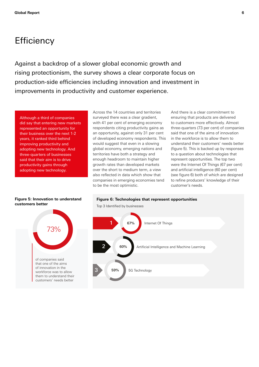## **Efficiency**

Against a backdrop of a slower global economic growth and rising protectionism, the survey shows a clear corporate focus on production-side efficiencies including innovation and investment in improvements in productivity and customer experience.

Although a third of companies did say that entering new markets represented an opportunity for their business over the next 1-2 years, it ranked third behind improving productivity and adopting new technology. And three-quarters of businesses said that their aim is to drive productivity gains through adopting new technology.

**Figure 5: Innovation to understand** 

Across the 14 countries and territories surveyed there was a clear gradient, with 41 per cent of emerging economy respondents citing productivity gains as an opportunity, against only 31 per cent of developed economy respondents. This would suggest that even in a slowing global economy, emerging nations and territories have both a strategy and enough headroom to maintain higher growth rates than developed markets over the short to medium term, a view also reflected in data which show that companies in emerging economies tend to be the most optimistic.

And there is a clear commitment to ensuring that products are delivered to customers more effectively. Almost three-quarters (73 per cent) of companies said that one of the aims of innovation in the workforce is to allow them to understand their customers' needs better (figure 5). This is backed up by responses to a question about technologies that represent opportunities. The top two were the Internet Of Things (67 per cent) and artificial intelligence (60 per cent) (see figure 6) both of which are designed to refine producers' knowledge of their customer's needs.



## **Figure 6: Technologies that represent opportunities** Top 3 Identified by businesses



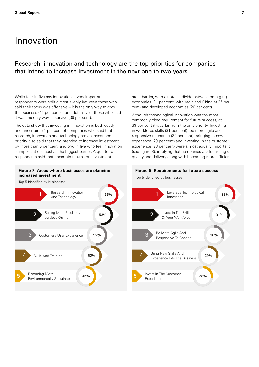## Innovation

### Research, innovation and technology are the top priorities for companies that intend to increase investment in the next one to two years

While four in five say innovation is very important. respondents were split almost evenly between those who said their focus was offensive – it is the only way to grow the business (41 per cent) – and defensive – those who said it was the only way to survive (38 per cent).

The data show that investing in innovation is both costly and uncertain. 71 per cent of companies who said that research, innovation and technology are an investment priority also said that they intended to increase investment by more than 5 per cent, and two in five who feel innovation is important cite cost as the biggest barrier. A quarter of respondents said that uncertain returns on investment

#### **Figure 7: Areas where businesses are planning Figure 8: Requirements for future success increased investment increased investment Top 5** Identified by businesses

Top 5 Identified by businesses



are a barrier, with a notable divide between emerging economies (31 per cent, with mainland China at 35 per cent) and developed economies (20 per cent).

Although technological innovation was the most commonly cited requirement for future success, at 33 per cent it was far from the only priority. Investing in workforce skills (31 per cent), be more agile and responsive to change (30 per cent), bringing in new experience (29 per cent) and investing in the customer experience (28 per cent) were almost equally important (see figure 8), implying that companies are focussing on quality and delivery along with becoming more efficient.

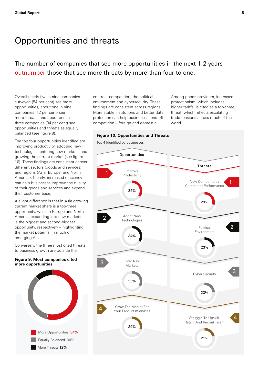## Opportunities and threats

The number of companies that see more opportunities in the next 1-2 years outnumber those that see more threats by more than four to one.

Overall nearly five in nine companies surveyed (54 per cent) see more opportunities, about one in nine companies (12 per cent) see more threats, and about one in three companies (34 per cent) see opportunities and threats as equally balanced (see figure 9).

The top four opportunities identified are improving productivity, adopting new technologies, entering new markets, and growing the current market (see figure 10). These findings are consistent across different sectors (goods and services) and regions (Asia, Europe, and North America). Clearly, increased efficiency can help businesses improve the quality of their goods and services and expand their customer base.

A slight difference is that in Asia growing current market share is a top-three opportunity, while in Europe and North America expanding into new markets is the biggest and second-biggest opportunity, respectively – highlighting the market potential in much of emerging Asia.

Conversely, the three most cited threats to business growth are outside their

#### **Figure 9: Most companies cited more opportunities**



control - competition, the political environment and cybersecurity. These findings are consistent across regions. More stable institutions and better data protection can help businesses fend off competition – foreign and domestic.

Among goods providers, increased protectionism, which includes higher tariffs, is cited as a top-three threat, which reflects escalating trade tensions across much of the world.



Top 4 Identified by businesses

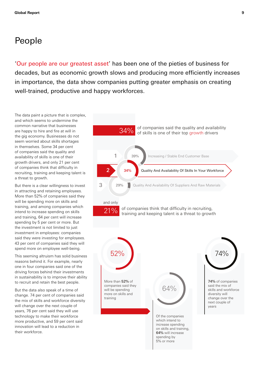## People

'Our people are our greatest asset' has been one of the pieties of business for decades, but as economic growth slows and producing more efficiently increases in importance, the data show companies putting greater emphasis on creating well-trained, productive and happy workforces.

The data paint a picture that is complex, and which seems to undermine the common narrative that businesses are happy to hire and fire at will in the gig economy. Businesses do not seem worried about skills shortages in themselves. Some 34 per cent of companies said the quality and availability of skills is one of their growth drivers, and only 21 per cent of companies think that difficulty in recruiting, training and keeping talent is a threat to growth.

But there is a clear willingness to invest in attracting and retaining employees. More than 52% of companies said they will be spending more on skills and training, and among companies which intend to increase spending on skills and training, 64 per cent will increase spending by 5 per cent or more. But the investment is not limited to just investment in employees: companies said they were investing for employees. 43 per cent of companies said they will spend more on employee well-being.

This seeming altruism has solid business reasons behind it. For example, nearly one in four companies said one of the driving forces behind their investments in sustainability is to improve their ability to recruit and retain the best people.

to recent and retain the sect people.<br>But the data also speak of a time of change. 74 per cent of companies said the mix of skills and workforce diversity will change over the next couple of years, 76 per cent said they will use technology to make their workforce more productive, and 59 per cent said innovation will lead to a reduction in their workforce.  $\frac{1}{2}$ 

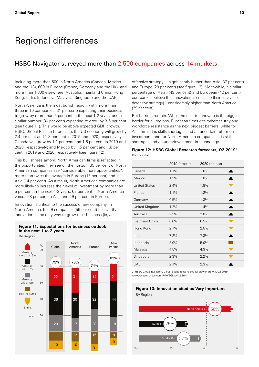## Regional differences

#### HSBC Navigator surveyed more than 2,500 companies across 14 markets.

Including more than 500 in North America (Canada, Mexico and the US), 600 in Europe (France, Germany and the UK), and more than 1,300 elsewhere (Australia, mainland China, Hong Kong, India, Indonesia, Malaysia, Singapore and the UAE).

North America is the most bullish region, with more than three in 10 companies (31 per cent) expecting their business to grow by more than 5 per cent in the next 1-2 years, and a similar number (30 per cent) expecting to grow by 3-5 per cent (see figure 11). This would be above expected GDP growth. HSBC Global Research forecasts the US economy will grow by 2.4 per cent and 1.8 per cent in 2019 and 2020, respectively; Canada will grow by 1.1 per cent and 1.6 per cent in 2019 and 2020, respectively; and Mexico by 1.5 per cent and 1.8 per cent in 2019 and 2020, respectively (see figure 12).

This bullishness among North American firms is reflected in the opportunities they see on the horizon. 35 per cent of North American companies see "considerably more opportunities", more than twice the average in Europe (15 per cent) and in Asia (14 per cent). As a result, North American companies are more likely to increase their level of investment by more than 5 per cent in the next 1-2 years: 62 per cent in North America versus 58 per cent in Asia and 49 per cent in Europe. lected in

Innovation is critical to the success of any company. In North America, 5 in 9 companies (56 per cent) believe that innovation is the only way to grow their business (ie, an

#### **Figure 11: Expectations for business outlook in the next 1 to 2 years**



offensive strategy) – significantly higher than Asia (37 per cent) and Europe (29 per cent) (see figure 13). Meanwhile, a similar percentage of Asian (43 per cent) and European (42 per cent) companies believe that innovation is critical to their survival (ie, a defensive strategy) – considerably higher than North America (29 per cent).

But barriers remain. While the cost to innovate is the biggest barrier for all regions, European firms cite cybersecurity and workforce resistance as the next biggest barriers, while for Asia firms it is skills shortages and an uncertain return on investment; and for North American companies it is skills shortages and an underinvestment in technology

#### Figure 12: HSBC Global Research forecasts, Q2 2019<sup>2</sup> By country

|                      | 2019 forecast | 2020 forecast |
|----------------------|---------------|---------------|
| Canada               | 1.1%          | 1.6%          |
| Mexico               | 1.5%          | 1.8%          |
| <b>United States</b> | 2.4%          | 1.8%          |
| France               | 1.1%          | 1.2%          |
| Germany              | 0.5%          | 1.3%          |
| United Kingdom       | 1.2%          | 1.4%          |
| Australia            | 2.5%          | 2.8%          |
| mainland China       | 6.6%          | 6.5%          |
| Hong Kong            | 2.7%          | 2.5%          |
| India                | 7.2%          | 7.3%          |
| Indonesia            | 5.0%          | 5.0%          |
| Malaysia             | 4.5%          | 4.3%          |
| Singapore            | 2.3%          | 2.2%          |
| <b>UAE</b>           | 2.1%          | 2.3%          |

2. HSBC Global Research, Global Economics: Poised for slower growth, Q2 2019 [www.research.hsbc.com/R/10/BGkssVrySZdH](http://www.research.hsbc.com/R/10/BGkssVrySZdH)

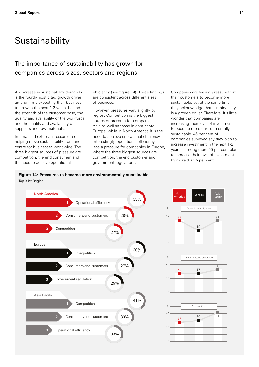## **Sustainability**

### The importance of sustainability has grown for companies across sizes, sectors and regions.

An increase in sustainability demands is the fourth-most cited growth driver among firms expecting their business to grow in the next 1-2 years, behind the strength of the customer base, the quality and availability of the workforce and the quality and availability of suppliers and raw materials.

Internal and external pressures are helping move sustainability front and centre for businesses worldwide. The three biggest sources of pressure are competition, the end consumer, and the need to achieve operational

efficiency (see figure 14). These findings are consistent across different sizes of business.

However, pressures vary slightly by region. Competition is the biggest source of pressure for companies in Asia as well as those in continental Europe, while in North America it is the need to achieve operational efficiency. Interestingly, operational efficiency is less a pressure for companies in Europe, where the three biggest sources are competition, the end customer and government regulations.

by more than 5 per cent. Companies are feeling pressure from their customers to become more sustainable, yet at the same time they acknowledge that sustainability is a growth driver. Therefore, it's little wonder that companies are increasing their level of investment to become more environmentally sustainable. 45 per cent of companies surveyed say they plan to increase investment in the next 1-2 years – among them 65 per cent plan to increase their level of investment

#### **Figure 14: Pressures to become more environmentally sustainable** Top 3 by Region



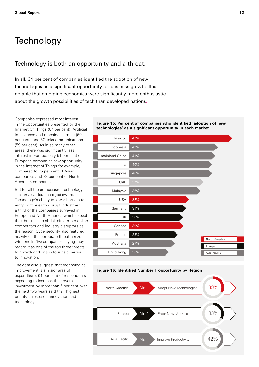## **Technology**

## Technology is both an opportunity and a threat.

In all, 34 per cent of companies identified the adoption of new technologies as a significant opportunity for business growth. It is notable that emerging economies were significantly more enthusiastic about the growth possibilities of tech than developed nations.  $2^3$  333%  $2^3$  333%  $2^3$  333%  $2^3$  333%  $2^3$  333%  $2^3$  333%  $2^3$  333%  $2^3$  333%  $2^3$  333%  $2^3$  333%  $2^3$  333%  $2^3$  333%  $2^3$  333%  $2^3$  333%  $2^3$  333%  $2^3$  333%  $2^3$  333%  $2^3$  333%  $2^3$  333%  $2^3$  333%

Companies expressed most interest in the opportunities presented by the Internet Of Things (67 per cent), Artificial Intelligence and machine learning (60 per cent), and 5G telecommunications (59 per cent). As in so many other areas, there was significantly less interest in Europe: only 51 per cent of European companies saw opportunity in the Internet of Things for example, compared to 75 per cent of Asian companies and 73 per cent of North American companies.

But for all the enthusiasm, technology is seen as a double-edged sword. Technology's ability to lower barriers to entry continues to disrupt industries: a third of the companies surveyed in Europe and North America which expect their business to shrink cited more online competitors and industry disruptors as the reason. Cybersecurity also featured heavily on the corporate threat horizon, with one in five companies saying they regard it as one of the top three threats to growth and one in four as a barrier to innovation.

The data also suggest that technological improvement is a major area of expenditure, 64 per cent of respondents expecting to increase their overall investment by more than 5 per cent over the next two years said their highest priority is research, innovation and technology.



**Figure 15: Per cent of companies who identified 'adoption of new** 

**technologies' as a significant opportunity in each market**

#### **Figure 16: Identified Number 1 opportunity by Region**